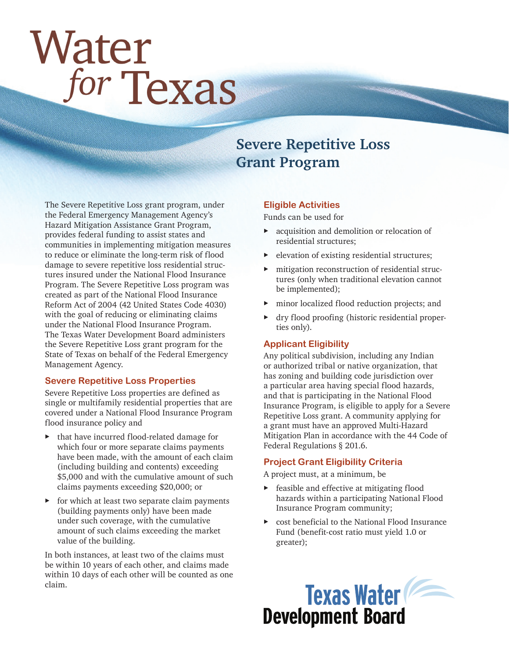# Water for Texas

# **Severe Repetitive Loss Grant Program**

The Severe Repetitive Loss grant program, under the Federal Emergency Management Agency's Hazard Mitigation Assistance Grant Program, provides federal funding to assist states and communities in implementing mitigation measures to reduce or eliminate the long-term risk of flood damage to severe repetitive loss residential structures insured under the National Flood Insurance Program. The Severe Repetitive Loss program was created as part of the National Flood Insurance Reform Act of 2004 (42 United States Code 4030) with the goal of reducing or eliminating claims under the National Flood Insurance Program. The Texas Water Development Board administers the Severe Repetitive Loss grant program for the State of Texas on behalf of the Federal Emergency Management Agency.

#### **Severe Repetitive Loss Properties**

Severe Repetitive Loss properties are defined as single or multifamily residential properties that are covered under a National Flood Insurance Program flood insurance policy and

- that have incurred flood-related damage for which four or more separate claims payments have been made, with the amount of each claim (including building and contents) exceeding \$5,000 and with the cumulative amount of such claims payments exceeding \$20,000; or
- $\triangleright$  for which at least two separate claim payments (building payments only) have been made under such coverage, with the cumulative amount of such claims exceeding the market value of the building.

In both instances, at least two of the claims must be within 10 years of each other, and claims made within 10 days of each other will be counted as one claim.

#### **Eligible Activities**

Funds can be used for

- ▶ acquisition and demolition or relocation of residential structures;
- ▶ elevation of existing residential structures;
- mitigation reconstruction of residential structures (only when traditional elevation cannot be implemented);
- ▶ minor localized flood reduction projects; and
- ▶ dry flood proofing (historic residential properties only).

#### **Applicant Eligibility**

Any political subdivision, including any Indian or authorized tribal or native organization, that has zoning and building code jurisdiction over a particular area having special flood hazards, and that is participating in the National Flood Insurance Program, is eligible to apply for a Severe Repetitive Loss grant. A community applying for a grant must have an approved Multi-Hazard Mitigation Plan in accordance with the 44 Code of Federal Regulations § 201.6.

#### **Project Grant Eligibility Criteria**

A project must, at a minimum, be

- ▶ feasible and effective at mitigating flood hazards within a participating National Flood Insurance Program community;
- ▶ cost beneficial to the National Flood Insurance Fund (benefit-cost ratio must yield 1.0 or greater);